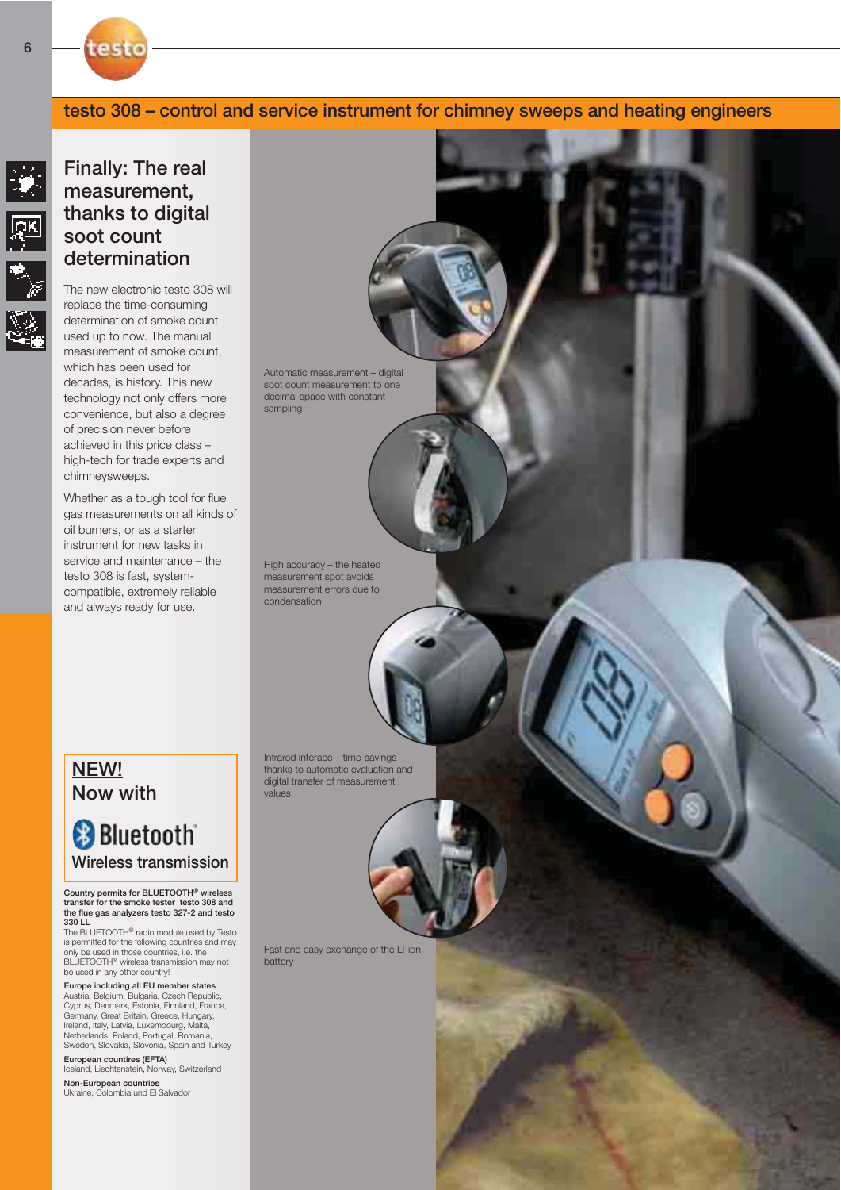### testo 308 – control and service instrument for chimney sweeps and heating engineers



test

The new electronic testo 308 will replace the time-consuming determination of smoke count used up to now. The manual measurement of smoke count, which has been used for decades, is history. This new technology not only offers more convenience, but also a degree of precision never before achieved in this price class – high-tech for trade experts and chimneysweeps.

Whether as a tough tool for flue gas measurements on all kinds of oil burners, or as a starter instrument for new tasks in service and maintenance – the testo 308 is fast, systemcompatible, extremely reliable and always ready for use.

Automatic measurement – digital soot count measurement to one decimal space with constant sampling

High accuracy – the heated measurement spot avoids measurement errors due to condensation

Infrared interace – time-savings thanks to automatic evaluation and digital transfer of measurement values

NEW! Now with

# **Bluetooth** Wireless transmission

Country permits for BLUETOOTH® wireless transfer for the smoke tester testo 308 and the flue gas analyzers testo 327-2 and testo 330 LL

The BLUETOOTH® radio module used by Testo is permitted for the following countries and may only be used in those countries, i.e. the BLUETOOTH® wireless transmission may not be used in any other country!

Europe including all EU member states Austria, Belgium, Bulgaria, Czech Republic, Cyprus, Denmark, Estonia, Finnland, France, Germany, Great Britain, Greece, Hungary, Ireland, Italy, Latvia, Luxembourg, Malta, Netherlands, Poland, Portugal, Romania, Sweden, Slovakia, Slovenia, Spain and Turkey

European countires (EFTA) Iceland, Liechtenstein, Norway, Switzerland

Non-European countries Ukraine, Colombia und El Salvador Fast and easy exchange of the LI-ion battery

 $|\mathscr{G}|$ 

网络